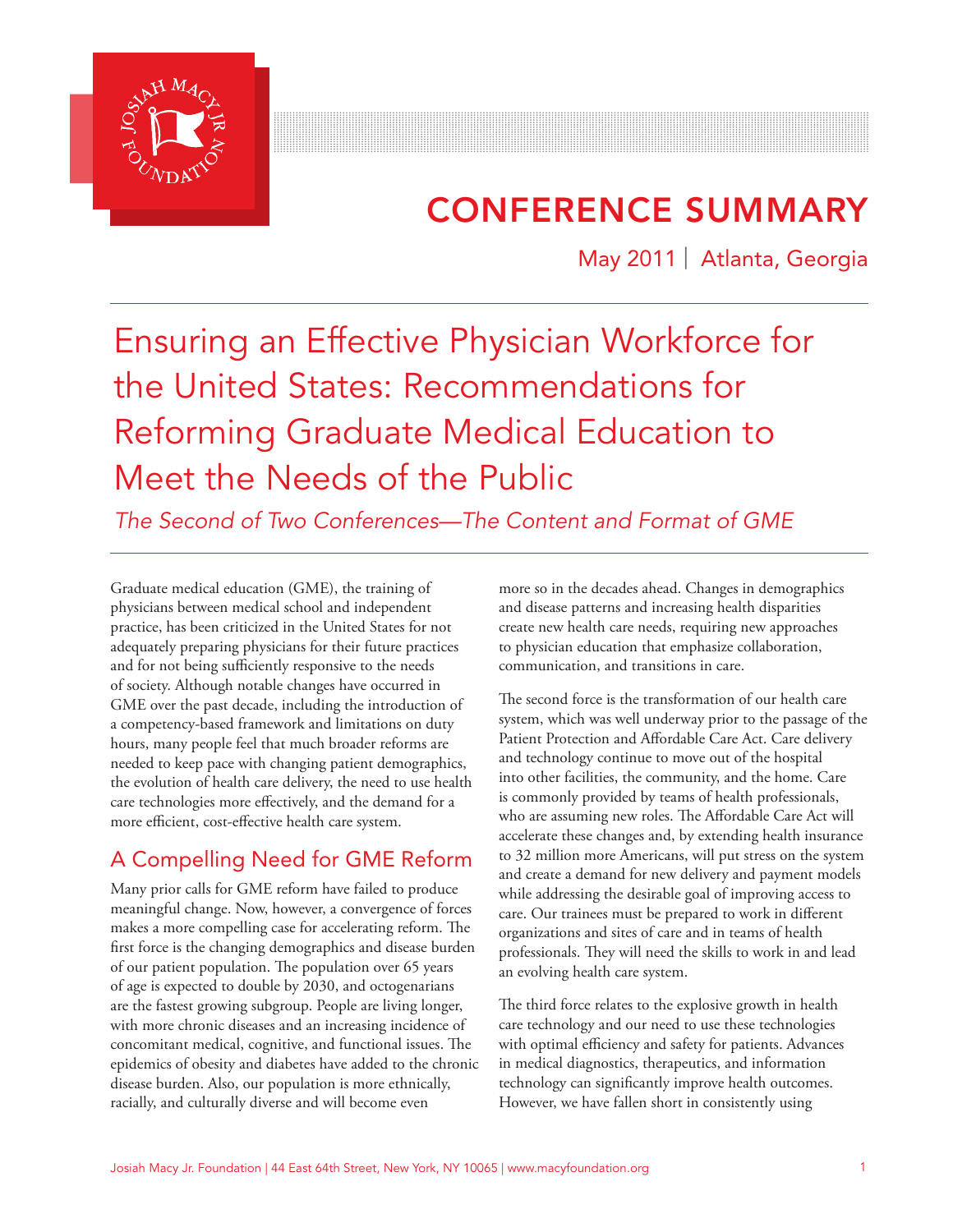

# CONFERENCE SUMMARY

May 2011 | Atlanta, Georgia

# Ensuring an Effective Physician Workforce for the United States: Recommendations for Reforming Graduate Medical Education to Meet the Needs of the Public

*The Second of Two Conferences—The Content and Format of GME*

Graduate medical education (GME), the training of physicians between medical school and independent practice, has been criticized in the United States for not adequately preparing physicians for their future practices and for not being sufficiently responsive to the needs of society. Although notable changes have occurred in GME over the past decade, including the introduction of a competency-based framework and limitations on duty hours, many people feel that much broader reforms are needed to keep pace with changing patient demographics, the evolution of health care delivery, the need to use health care technologies more effectively, and the demand for a more efficient, cost-effective health care system.

# A Compelling Need for GME Reform

Many prior calls for GME reform have failed to produce meaningful change. Now, however, a convergence of forces makes a more compelling case for accelerating reform. The first force is the changing demographics and disease burden of our patient population. The population over 65 years of age is expected to double by 2030, and octogenarians are the fastest growing subgroup. People are living longer, with more chronic diseases and an increasing incidence of concomitant medical, cognitive, and functional issues. The epidemics of obesity and diabetes have added to the chronic disease burden. Also, our population is more ethnically, racially, and culturally diverse and will become even

more so in the decades ahead. Changes in demographics and disease patterns and increasing health disparities create new health care needs, requiring new approaches to physician education that emphasize collaboration, communication, and transitions in care.

The second force is the transformation of our health care system, which was well underway prior to the passage of the Patient Protection and Affordable Care Act. Care delivery and technology continue to move out of the hospital into other facilities, the community, and the home. Care is commonly provided by teams of health professionals, who are assuming new roles. The Affordable Care Act will accelerate these changes and, by extending health insurance to 32 million more Americans, will put stress on the system and create a demand for new delivery and payment models while addressing the desirable goal of improving access to care. Our trainees must be prepared to work in different organizations and sites of care and in teams of health professionals. They will need the skills to work in and lead an evolving health care system.

The third force relates to the explosive growth in health care technology and our need to use these technologies with optimal efficiency and safety for patients. Advances in medical diagnostics, therapeutics, and information technology can significantly improve health outcomes. However, we have fallen short in consistently using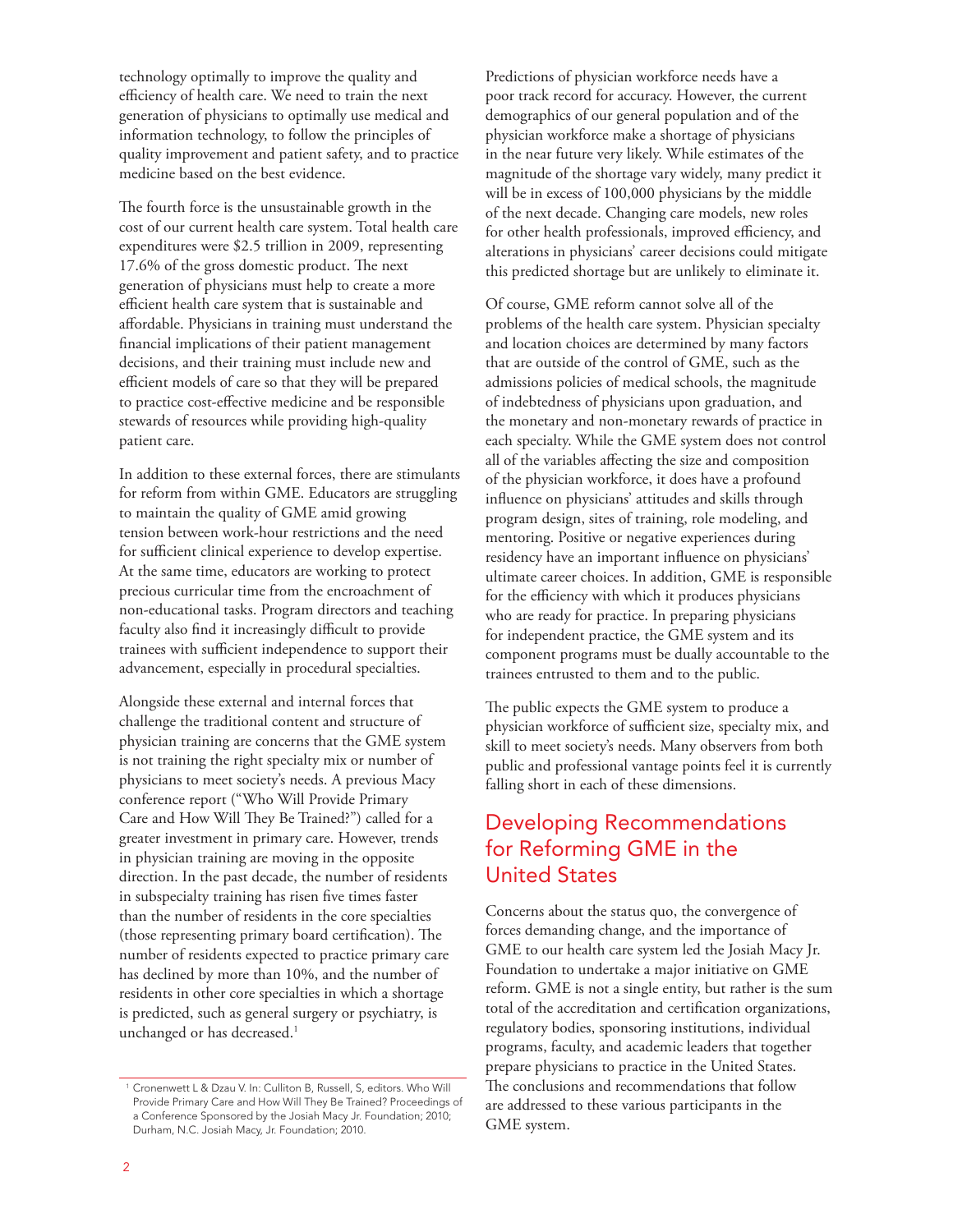technology optimally to improve the quality and efficiency of health care. We need to train the next generation of physicians to optimally use medical and information technology, to follow the principles of quality improvement and patient safety, and to practice medicine based on the best evidence.

The fourth force is the unsustainable growth in the cost of our current health care system. Total health care expenditures were \$2.5 trillion in 2009, representing 17.6% of the gross domestic product. The next generation of physicians must help to create a more efficient health care system that is sustainable and affordable. Physicians in training must understand the financial implications of their patient management decisions, and their training must include new and efficient models of care so that they will be prepared to practice cost-effective medicine and be responsible stewards of resources while providing high-quality patient care.

In addition to these external forces, there are stimulants for reform from within GME. Educators are struggling to maintain the quality of GME amid growing tension between work-hour restrictions and the need for sufficient clinical experience to develop expertise. At the same time, educators are working to protect precious curricular time from the encroachment of non-educational tasks. Program directors and teaching faculty also find it increasingly difficult to provide trainees with sufficient independence to support their advancement, especially in procedural specialties.

Alongside these external and internal forces that challenge the traditional content and structure of physician training are concerns that the GME system is not training the right specialty mix or number of physicians to meet society's needs. A previous Macy conference report ("Who Will Provide Primary Care and How Will They Be Trained?") called for a greater investment in primary care. However, trends in physician training are moving in the opposite direction. In the past decade, the number of residents in subspecialty training has risen five times faster than the number of residents in the core specialties (those representing primary board certification). The number of residents expected to practice primary care has declined by more than 10%, and the number of residents in other core specialties in which a shortage is predicted, such as general surgery or psychiatry, is unchanged or has decreased.<sup>1</sup>

Predictions of physician workforce needs have a poor track record for accuracy. However, the current demographics of our general population and of the physician workforce make a shortage of physicians in the near future very likely. While estimates of the magnitude of the shortage vary widely, many predict it will be in excess of 100,000 physicians by the middle of the next decade. Changing care models, new roles for other health professionals, improved efficiency, and alterations in physicians' career decisions could mitigate this predicted shortage but are unlikely to eliminate it.

Of course, GME reform cannot solve all of the problems of the health care system. Physician specialty and location choices are determined by many factors that are outside of the control of GME, such as the admissions policies of medical schools, the magnitude of indebtedness of physicians upon graduation, and the monetary and non-monetary rewards of practice in each specialty. While the GME system does not control all of the variables affecting the size and composition of the physician workforce, it does have a profound influence on physicians' attitudes and skills through program design, sites of training, role modeling, and mentoring. Positive or negative experiences during residency have an important influence on physicians' ultimate career choices. In addition, GME is responsible for the efficiency with which it produces physicians who are ready for practice. In preparing physicians for independent practice, the GME system and its component programs must be dually accountable to the trainees entrusted to them and to the public.

The public expects the GME system to produce a physician workforce of sufficient size, specialty mix, and skill to meet society's needs. Many observers from both public and professional vantage points feel it is currently falling short in each of these dimensions.

# Developing Recommendations for Reforming GME in the United States

Concerns about the status quo, the convergence of forces demanding change, and the importance of GME to our health care system led the Josiah Macy Jr. Foundation to undertake a major initiative on GME reform. GME is not a single entity, but rather is the sum total of the accreditation and certification organizations, regulatory bodies, sponsoring institutions, individual programs, faculty, and academic leaders that together prepare physicians to practice in the United States. The conclusions and recommendations that follow are addressed to these various participants in the GME system.

<sup>&</sup>lt;sup>1</sup> Cronenwett L & Dzau V. In: Culliton B, Russell, S, editors. Who Will Provide Primary Care and How Will They Be Trained? Proceedings of a Conference Sponsored by the Josiah Macy Jr. Foundation; 2010; Durham, N.C. Josiah Macy, Jr. Foundation; 2010.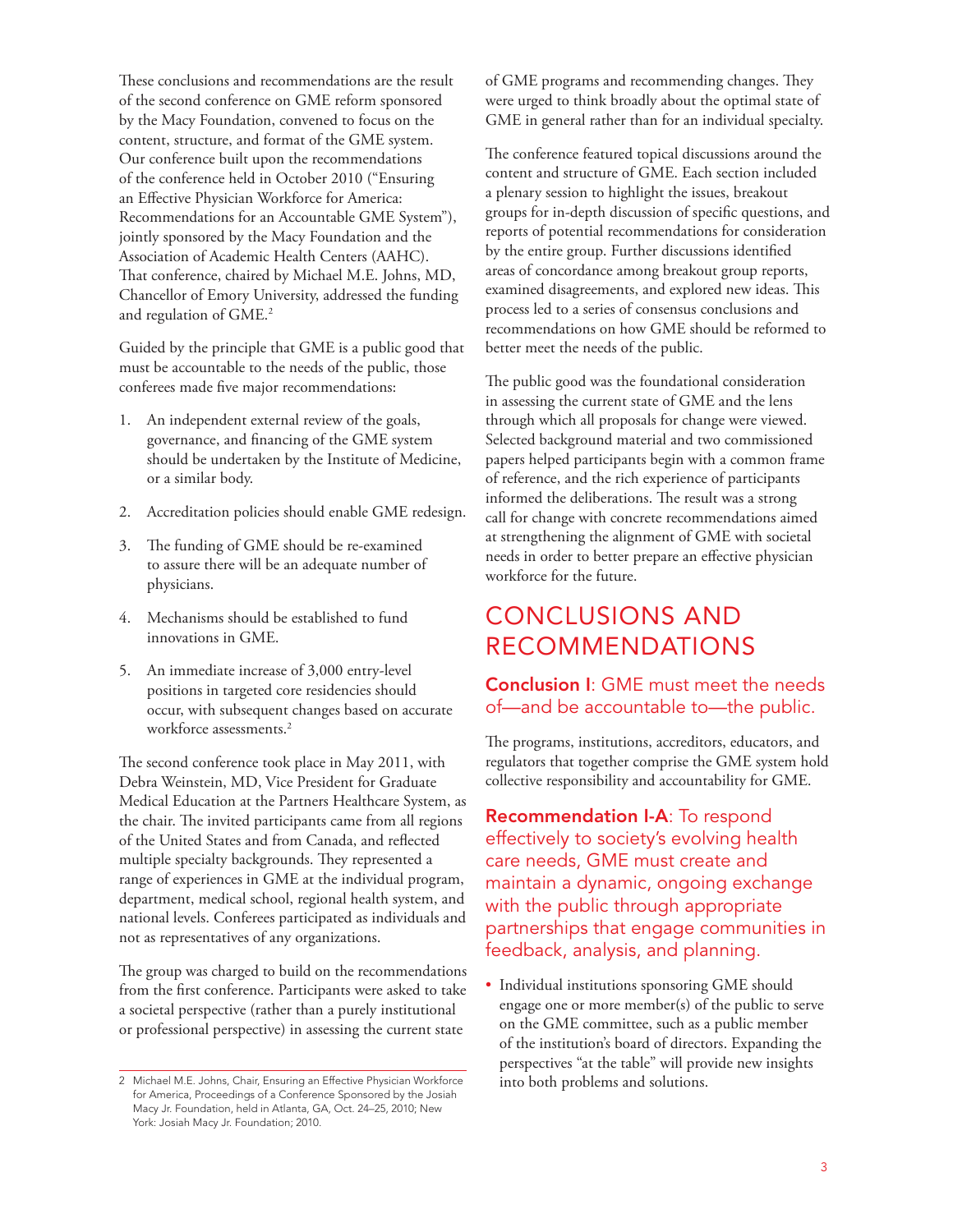These conclusions and recommendations are the result of the second conference on GME reform sponsored by the Macy Foundation, convened to focus on the content, structure, and format of the GME system. Our conference built upon the recommendations of the conference held in October 2010 ("Ensuring an Effective Physician Workforce for America: Recommendations for an Accountable GME System"), jointly sponsored by the Macy Foundation and the Association of Academic Health Centers (AAHC). That conference, chaired by Michael M.E. Johns, MD, Chancellor of Emory University, addressed the funding and regulation of GME.2

Guided by the principle that GME is a public good that must be accountable to the needs of the public, those conferees made five major recommendations:

- 1. An independent external review of the goals, governance, and financing of the GME system should be undertaken by the Institute of Medicine, or a similar body.
- 2. Accreditation policies should enable GME redesign.
- 3. The funding of GME should be re-examined to assure there will be an adequate number of physicians.
- 4. Mechanisms should be established to fund innovations in GME.
- 5. An immediate increase of 3,000 entry-level positions in targeted core residencies should occur, with subsequent changes based on accurate workforce assessments.<sup>2</sup>

The second conference took place in May 2011, with Debra Weinstein, MD, Vice President for Graduate Medical Education at the Partners Healthcare System, as the chair. The invited participants came from all regions of the United States and from Canada, and reflected multiple specialty backgrounds. They represented a range of experiences in GME at the individual program, department, medical school, regional health system, and national levels. Conferees participated as individuals and not as representatives of any organizations.

The group was charged to build on the recommendations from the first conference. Participants were asked to take a societal perspective (rather than a purely institutional or professional perspective) in assessing the current state

of GME programs and recommending changes. They were urged to think broadly about the optimal state of GME in general rather than for an individual specialty.

The conference featured topical discussions around the content and structure of GME. Each section included a plenary session to highlight the issues, breakout groups for in-depth discussion of specific questions, and reports of potential recommendations for consideration by the entire group. Further discussions identified areas of concordance among breakout group reports, examined disagreements, and explored new ideas. This process led to a series of consensus conclusions and recommendations on how GME should be reformed to better meet the needs of the public.

The public good was the foundational consideration in assessing the current state of GME and the lens through which all proposals for change were viewed. Selected background material and two commissioned papers helped participants begin with a common frame of reference, and the rich experience of participants informed the deliberations. The result was a strong call for change with concrete recommendations aimed at strengthening the alignment of GME with societal needs in order to better prepare an effective physician workforce for the future.

# CONCLUSIONS AND RECOMMENDATIONS

# **Conclusion I: GME must meet the needs** of—and be accountable to—the public.

The programs, institutions, accreditors, educators, and regulators that together comprise the GME system hold collective responsibility and accountability for GME.

Recommendation I-A: To respond effectively to society's evolving health care needs, GME must create and maintain a dynamic, ongoing exchange with the public through appropriate partnerships that engage communities in feedback, analysis, and planning.

• Individual institutions sponsoring GME should engage one or more member(s) of the public to serve on the GME committee, such as a public member of the institution's board of directors. Expanding the perspectives "at the table" will provide new insights into both problems and solutions.

<sup>2</sup> Michael M.E. Johns, Chair, Ensuring an Effective Physician Workforce for America, Proceedings of a Conference Sponsored by the Josiah Macy Jr. Foundation, held in Atlanta, GA, Oct. 24–25, 2010; New York: Josiah Macy Jr. Foundation; 2010.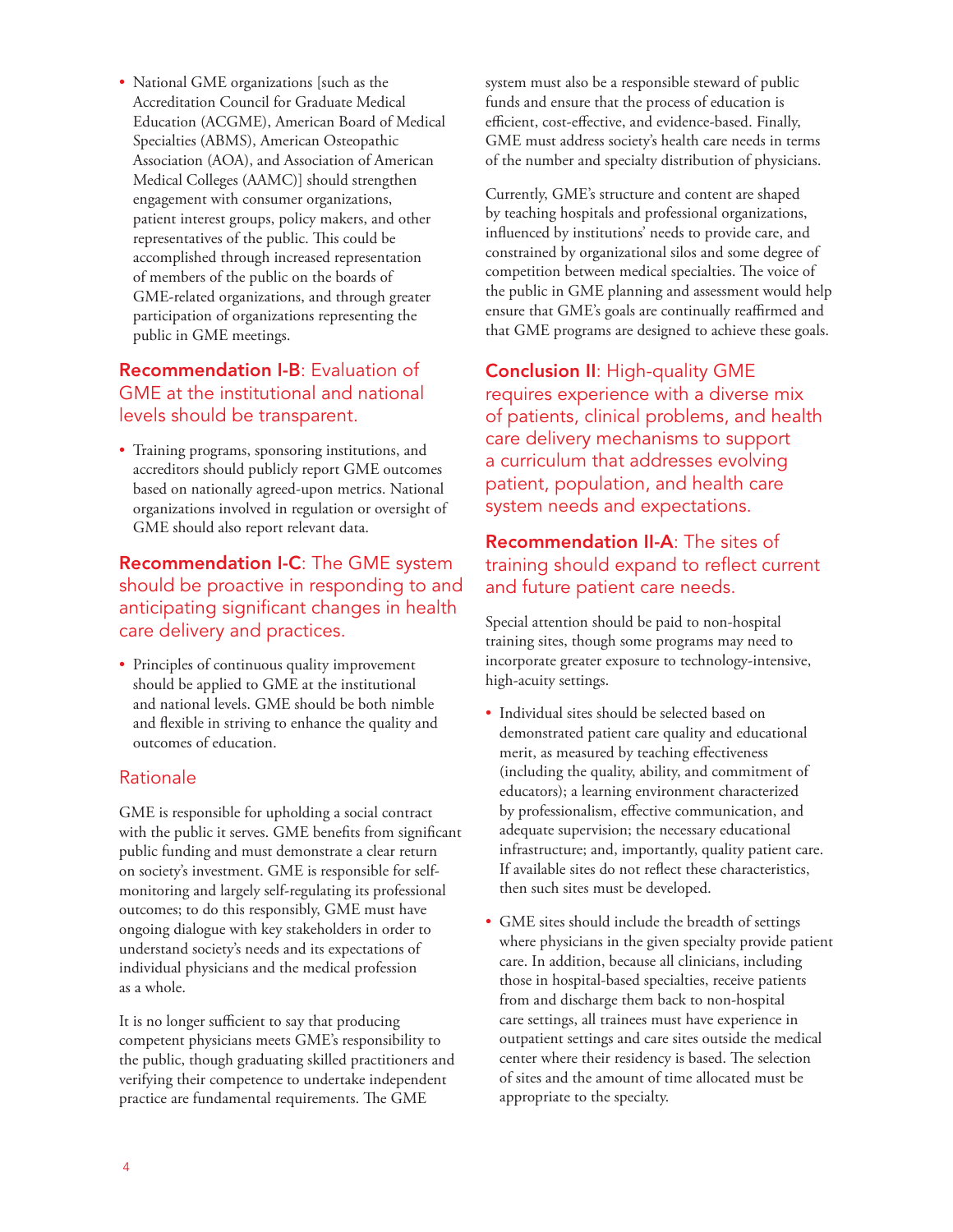• National GME organizations [such as the Accreditation Council for Graduate Medical Education (ACGME), American Board of Medical Specialties (ABMS), American Osteopathic Association (AOA), and Association of American Medical Colleges (AAMC)] should strengthen engagement with consumer organizations, patient interest groups, policy makers, and other representatives of the public. This could be accomplished through increased representation of members of the public on the boards of GME-related organizations, and through greater participation of organizations representing the public in GME meetings.

# Recommendation I-B: Evaluation of GME at the institutional and national levels should be transparent.

• Training programs, sponsoring institutions, and accreditors should publicly report GME outcomes based on nationally agreed-upon metrics. National organizations involved in regulation or oversight of GME should also report relevant data.

Recommendation I-C: The GME system should be proactive in responding to and anticipating significant changes in health care delivery and practices.

• Principles of continuous quality improvement should be applied to GME at the institutional and national levels. GME should be both nimble and flexible in striving to enhance the quality and outcomes of education.

# Rationale

GME is responsible for upholding a social contract with the public it serves. GME benefits from significant public funding and must demonstrate a clear return on society's investment. GME is responsible for selfmonitoring and largely self-regulating its professional outcomes; to do this responsibly, GME must have ongoing dialogue with key stakeholders in order to understand society's needs and its expectations of individual physicians and the medical profession as a whole.

It is no longer sufficient to say that producing competent physicians meets GME's responsibility to the public, though graduating skilled practitioners and verifying their competence to undertake independent practice are fundamental requirements. The GME

system must also be a responsible steward of public funds and ensure that the process of education is efficient, cost-effective, and evidence-based. Finally, GME must address society's health care needs in terms of the number and specialty distribution of physicians.

Currently, GME's structure and content are shaped by teaching hospitals and professional organizations, influenced by institutions' needs to provide care, and constrained by organizational silos and some degree of competition between medical specialties. The voice of the public in GME planning and assessment would help ensure that GME's goals are continually reaffirmed and that GME programs are designed to achieve these goals.

Conclusion II: High-quality GME requires experience with a diverse mix of patients, clinical problems, and health care delivery mechanisms to support a curriculum that addresses evolving patient, population, and health care system needs and expectations.

# Recommendation II-A: The sites of training should expand to reflect current and future patient care needs.

Special attention should be paid to non-hospital training sites, though some programs may need to incorporate greater exposure to technology-intensive, high-acuity settings.

- Individual sites should be selected based on demonstrated patient care quality and educational merit, as measured by teaching effectiveness (including the quality, ability, and commitment of educators); a learning environment characterized by professionalism, effective communication, and adequate supervision; the necessary educational infrastructure; and, importantly, quality patient care. If available sites do not reflect these characteristics, then such sites must be developed.
- GME sites should include the breadth of settings where physicians in the given specialty provide patient care. In addition, because all clinicians, including those in hospital-based specialties, receive patients from and discharge them back to non-hospital care settings, all trainees must have experience in outpatient settings and care sites outside the medical center where their residency is based. The selection of sites and the amount of time allocated must be appropriate to the specialty.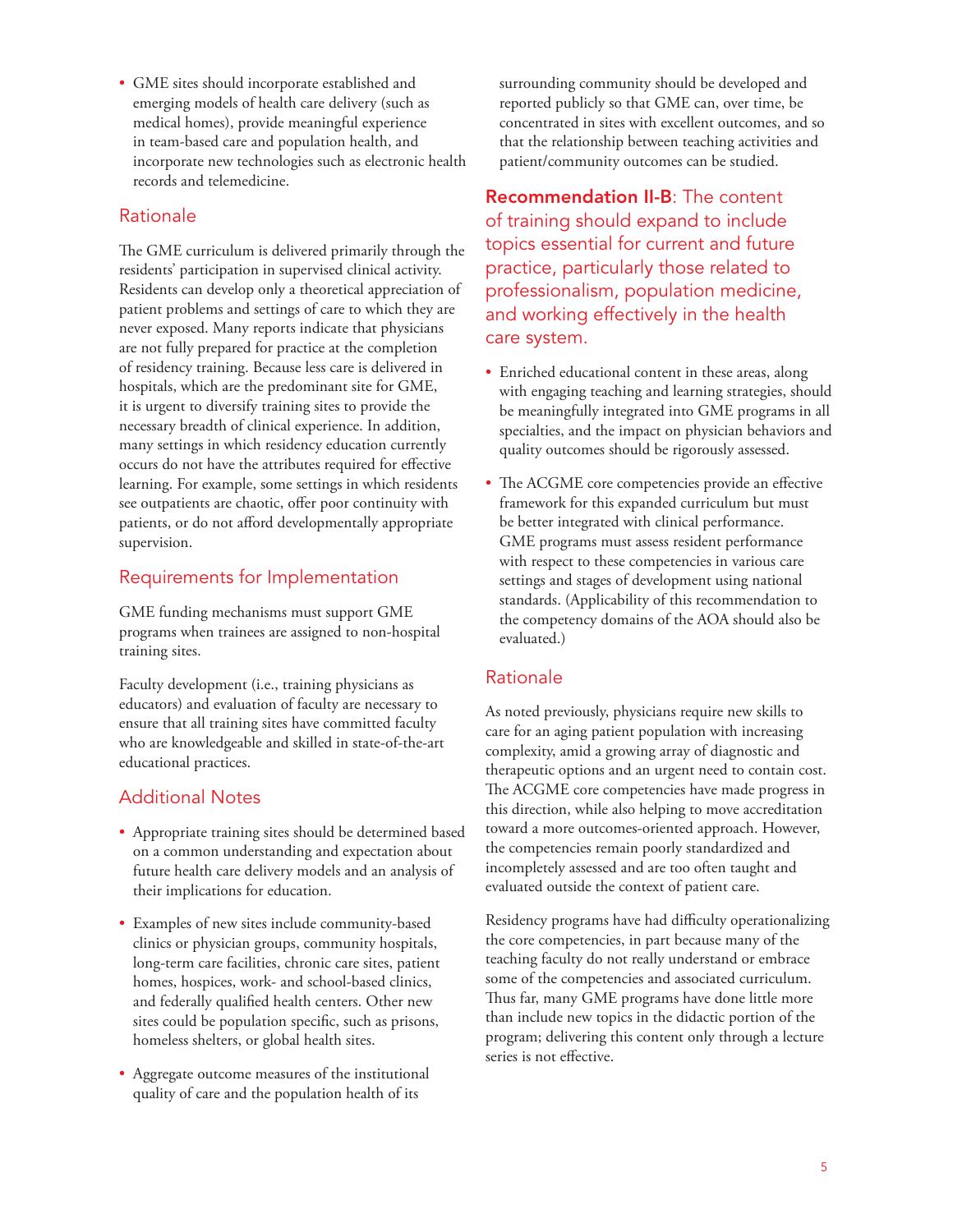• GME sites should incorporate established and emerging models of health care delivery (such as medical homes), provide meaningful experience in team-based care and population health, and incorporate new technologies such as electronic health records and telemedicine.

# Rationale

The GME curriculum is delivered primarily through the residents' participation in supervised clinical activity. Residents can develop only a theoretical appreciation of patient problems and settings of care to which they are never exposed. Many reports indicate that physicians are not fully prepared for practice at the completion of residency training. Because less care is delivered in hospitals, which are the predominant site for GME, it is urgent to diversify training sites to provide the necessary breadth of clinical experience. In addition, many settings in which residency education currently occurs do not have the attributes required for effective learning. For example, some settings in which residents see outpatients are chaotic, offer poor continuity with patients, or do not afford developmentally appropriate supervision.

# Requirements for Implementation

GME funding mechanisms must support GME programs when trainees are assigned to non-hospital training sites.

Faculty development (i.e., training physicians as educators) and evaluation of faculty are necessary to ensure that all training sites have committed faculty who are knowledgeable and skilled in state-of-the-art educational practices.

# Additional Notes

- Appropriate training sites should be determined based on a common understanding and expectation about future health care delivery models and an analysis of their implications for education.
- Examples of new sites include community-based clinics or physician groups, community hospitals, long-term care facilities, chronic care sites, patient homes, hospices, work- and school-based clinics, and federally qualified health centers. Other new sites could be population specific, such as prisons, homeless shelters, or global health sites.
- Aggregate outcome measures of the institutional quality of care and the population health of its

surrounding community should be developed and reported publicly so that GME can, over time, be concentrated in sites with excellent outcomes, and so that the relationship between teaching activities and patient/community outcomes can be studied.

Recommendation II-B: The content of training should expand to include topics essential for current and future practice, particularly those related to professionalism, population medicine, and working effectively in the health care system.

- Enriched educational content in these areas, along with engaging teaching and learning strategies, should be meaningfully integrated into GME programs in all specialties, and the impact on physician behaviors and quality outcomes should be rigorously assessed.
- The ACGME core competencies provide an effective framework for this expanded curriculum but must be better integrated with clinical performance. GME programs must assess resident performance with respect to these competencies in various care settings and stages of development using national standards. (Applicability of this recommendation to the competency domains of the AOA should also be evaluated.)

# Rationale

As noted previously, physicians require new skills to care for an aging patient population with increasing complexity, amid a growing array of diagnostic and therapeutic options and an urgent need to contain cost. The ACGME core competencies have made progress in this direction, while also helping to move accreditation toward a more outcomes-oriented approach. However, the competencies remain poorly standardized and incompletely assessed and are too often taught and evaluated outside the context of patient care.

Residency programs have had difficulty operationalizing the core competencies, in part because many of the teaching faculty do not really understand or embrace some of the competencies and associated curriculum. Thus far, many GME programs have done little more than include new topics in the didactic portion of the program; delivering this content only through a lecture series is not effective.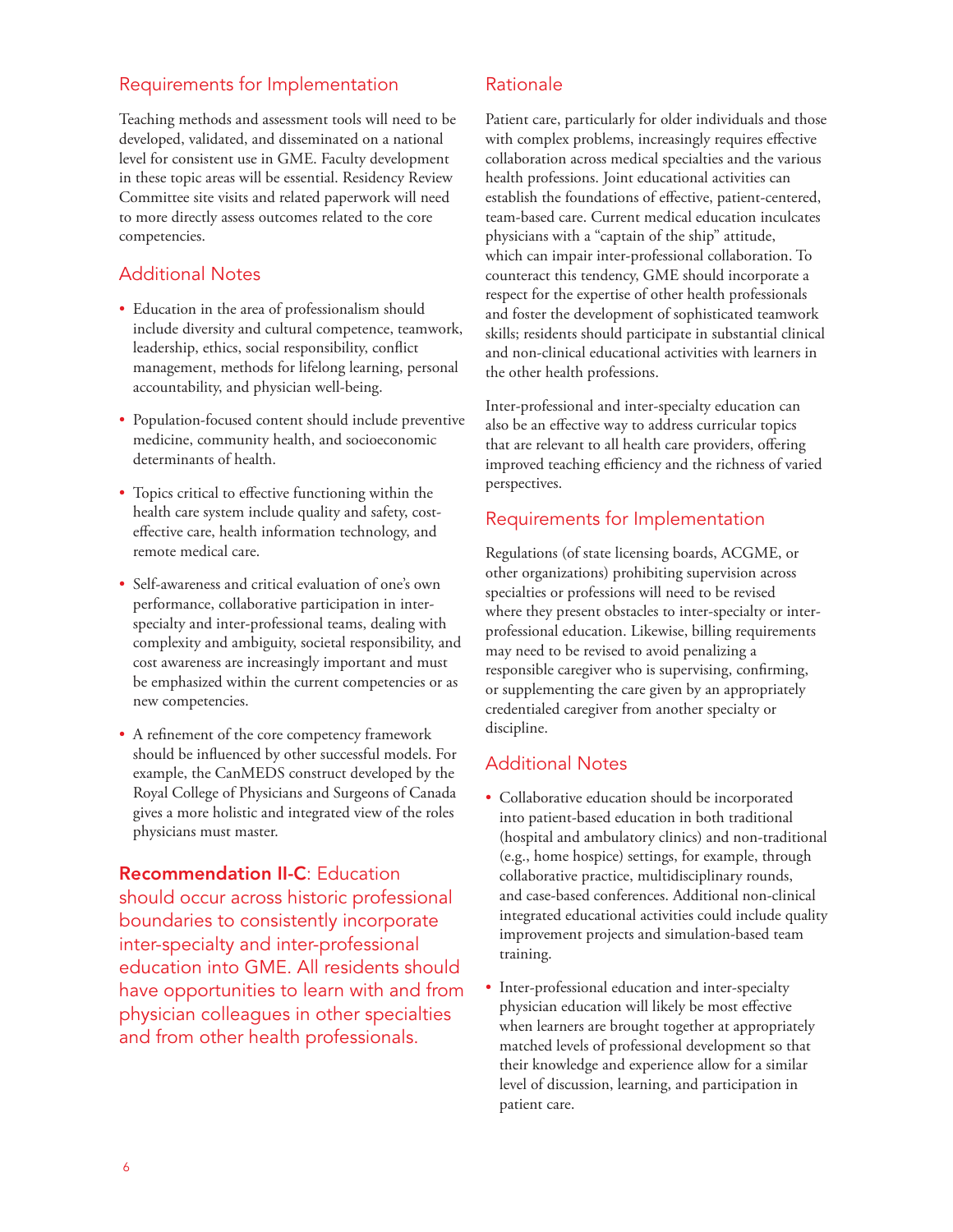# Requirements for Implementation

Teaching methods and assessment tools will need to be developed, validated, and disseminated on a national level for consistent use in GME. Faculty development in these topic areas will be essential. Residency Review Committee site visits and related paperwork will need to more directly assess outcomes related to the core competencies.

# Additional Notes

- Education in the area of professionalism should include diversity and cultural competence, teamwork, leadership, ethics, social responsibility, conflict management, methods for lifelong learning, personal accountability, and physician well-being.
- Population-focused content should include preventive medicine, community health, and socioeconomic determinants of health.
- Topics critical to effective functioning within the health care system include quality and safety, costeffective care, health information technology, and remote medical care.
- Self-awareness and critical evaluation of one's own performance, collaborative participation in interspecialty and inter-professional teams, dealing with complexity and ambiguity, societal responsibility, and cost awareness are increasingly important and must be emphasized within the current competencies or as new competencies.
- A refinement of the core competency framework should be influenced by other successful models. For example, the CanMEDS construct developed by the Royal College of Physicians and Surgeons of Canada gives a more holistic and integrated view of the roles physicians must master.

Recommendation II-C: Education should occur across historic professional boundaries to consistently incorporate inter-specialty and inter-professional education into GME. All residents should have opportunities to learn with and from physician colleagues in other specialties and from other health professionals.

# Rationale

Patient care, particularly for older individuals and those with complex problems, increasingly requires effective collaboration across medical specialties and the various health professions. Joint educational activities can establish the foundations of effective, patient-centered, team-based care. Current medical education inculcates physicians with a "captain of the ship" attitude, which can impair inter-professional collaboration. To counteract this tendency, GME should incorporate a respect for the expertise of other health professionals and foster the development of sophisticated teamwork skills; residents should participate in substantial clinical and non-clinical educational activities with learners in the other health professions.

Inter-professional and inter-specialty education can also be an effective way to address curricular topics that are relevant to all health care providers, offering improved teaching efficiency and the richness of varied perspectives.

# Requirements for Implementation

Regulations (of state licensing boards, ACGME, or other organizations) prohibiting supervision across specialties or professions will need to be revised where they present obstacles to inter-specialty or interprofessional education. Likewise, billing requirements may need to be revised to avoid penalizing a responsible caregiver who is supervising, confirming, or supplementing the care given by an appropriately credentialed caregiver from another specialty or discipline.

# Additional Notes

- Collaborative education should be incorporated into patient-based education in both traditional (hospital and ambulatory clinics) and non-traditional (e.g., home hospice) settings, for example, through collaborative practice, multidisciplinary rounds, and case-based conferences. Additional non-clinical integrated educational activities could include quality improvement projects and simulation-based team training.
- Inter-professional education and inter-specialty physician education will likely be most effective when learners are brought together at appropriately matched levels of professional development so that their knowledge and experience allow for a similar level of discussion, learning, and participation in patient care.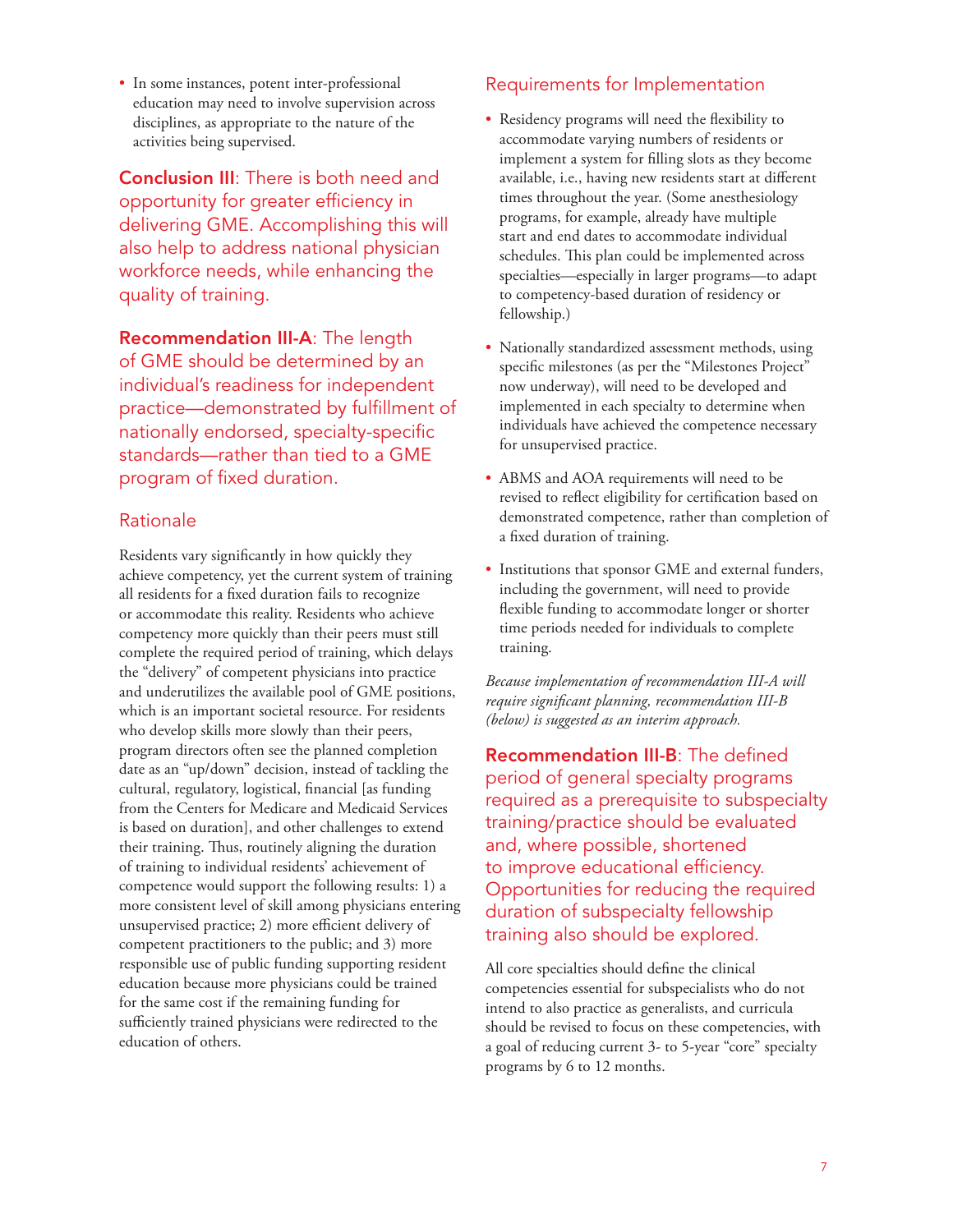• In some instances, potent inter-professional education may need to involve supervision across disciplines, as appropriate to the nature of the activities being supervised.

Conclusion III: There is both need and opportunity for greater efficiency in delivering GME. Accomplishing this will also help to address national physician workforce needs, while enhancing the quality of training.

Recommendation III-A: The length of GME should be determined by an individual's readiness for independent practice—demonstrated by fulfillment of nationally endorsed, specialty-specific standards—rather than tied to a GME program of fixed duration.

# Rationale

Residents vary significantly in how quickly they achieve competency, yet the current system of training all residents for a fixed duration fails to recognize or accommodate this reality. Residents who achieve competency more quickly than their peers must still complete the required period of training, which delays the "delivery" of competent physicians into practice and underutilizes the available pool of GME positions, which is an important societal resource. For residents who develop skills more slowly than their peers, program directors often see the planned completion date as an "up/down" decision, instead of tackling the cultural, regulatory, logistical, financial [as funding from the Centers for Medicare and Medicaid Services is based on duration], and other challenges to extend their training. Thus, routinely aligning the duration of training to individual residents' achievement of competence would support the following results: 1) a more consistent level of skill among physicians entering unsupervised practice; 2) more efficient delivery of competent practitioners to the public; and 3) more responsible use of public funding supporting resident education because more physicians could be trained for the same cost if the remaining funding for sufficiently trained physicians were redirected to the education of others.

# Requirements for Implementation

- Residency programs will need the flexibility to accommodate varying numbers of residents or implement a system for filling slots as they become available, i.e., having new residents start at different times throughout the year. (Some anesthesiology programs, for example, already have multiple start and end dates to accommodate individual schedules. This plan could be implemented across specialties—especially in larger programs—to adapt to competency-based duration of residency or fellowship.)
- Nationally standardized assessment methods, using specific milestones (as per the "Milestones Project" now underway), will need to be developed and implemented in each specialty to determine when individuals have achieved the competence necessary for unsupervised practice.
- ABMS and AOA requirements will need to be revised to reflect eligibility for certification based on demonstrated competence, rather than completion of a fixed duration of training.
- Institutions that sponsor GME and external funders, including the government, will need to provide flexible funding to accommodate longer or shorter time periods needed for individuals to complete training.

*Because implementation of recommendation III-A will require significant planning, recommendation III-B (below) is suggested as an interim approach.* 

Recommendation III-B: The defined period of general specialty programs required as a prerequisite to subspecialty training/practice should be evaluated and, where possible, shortened to improve educational efficiency. Opportunities for reducing the required duration of subspecialty fellowship training also should be explored.

All core specialties should define the clinical competencies essential for subspecialists who do not intend to also practice as generalists, and curricula should be revised to focus on these competencies, with a goal of reducing current 3- to 5-year "core" specialty programs by 6 to 12 months.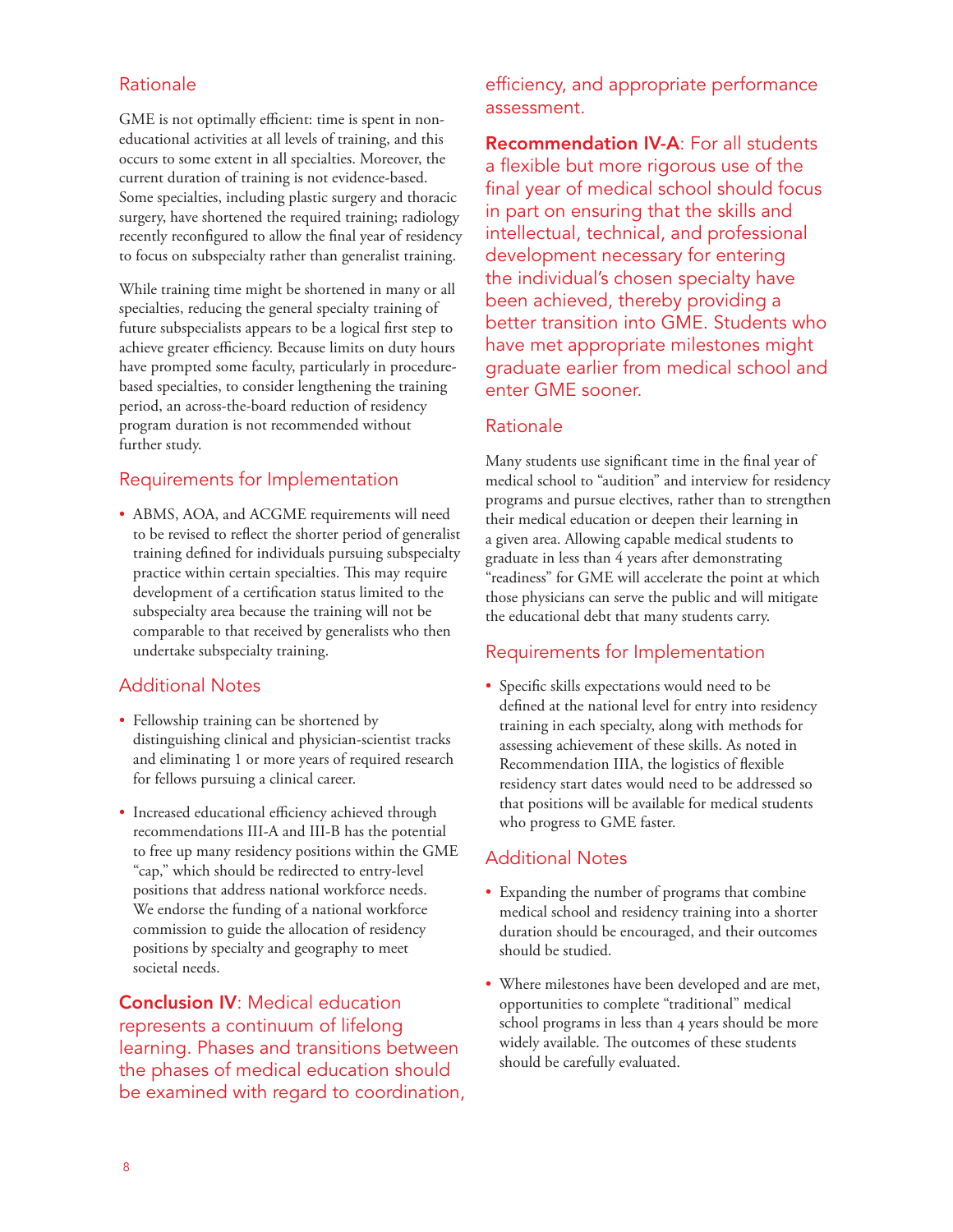# Rationale

GME is not optimally efficient: time is spent in noneducational activities at all levels of training, and this occurs to some extent in all specialties. Moreover, the current duration of training is not evidence-based. Some specialties, including plastic surgery and thoracic surgery, have shortened the required training; radiology recently reconfigured to allow the final year of residency to focus on subspecialty rather than generalist training.

While training time might be shortened in many or all specialties, reducing the general specialty training of future subspecialists appears to be a logical first step to achieve greater efficiency. Because limits on duty hours have prompted some faculty, particularly in procedurebased specialties, to consider lengthening the training period, an across-the-board reduction of residency program duration is not recommended without further study.

# Requirements for Implementation

• ABMS, AOA, and ACGME requirements will need to be revised to reflect the shorter period of generalist training defined for individuals pursuing subspecialty practice within certain specialties. This may require development of a certification status limited to the subspecialty area because the training will not be comparable to that received by generalists who then undertake subspecialty training.

# Additional Notes

- Fellowship training can be shortened by distinguishing clinical and physician-scientist tracks and eliminating 1 or more years of required research for fellows pursuing a clinical career.
- Increased educational efficiency achieved through recommendations III-A and III-B has the potential to free up many residency positions within the GME "cap," which should be redirected to entry-level positions that address national workforce needs. We endorse the funding of a national workforce commission to guide the allocation of residency positions by specialty and geography to meet societal needs.

Conclusion IV: Medical education represents a continuum of lifelong learning. Phases and transitions between the phases of medical education should be examined with regard to coordination, efficiency, and appropriate performance assessment.

Recommendation IV-A: For all students a flexible but more rigorous use of the final year of medical school should focus in part on ensuring that the skills and intellectual, technical, and professional development necessary for entering the individual's chosen specialty have been achieved, thereby providing a better transition into GME. Students who have met appropriate milestones might graduate earlier from medical school and enter GME sooner.

### Rationale

Many students use significant time in the final year of medical school to "audition" and interview for residency programs and pursue electives, rather than to strengthen their medical education or deepen their learning in a given area. Allowing capable medical students to graduate in less than 4 years after demonstrating "readiness" for GME will accelerate the point at which those physicians can serve the public and will mitigate the educational debt that many students carry.

# Requirements for Implementation

• Specific skills expectations would need to be defined at the national level for entry into residency training in each specialty, along with methods for assessing achievement of these skills. As noted in Recommendation IIIA, the logistics of flexible residency start dates would need to be addressed so that positions will be available for medical students who progress to GME faster.

# Additional Notes

- Expanding the number of programs that combine medical school and residency training into a shorter duration should be encouraged, and their outcomes should be studied.
- Where milestones have been developed and are met, opportunities to complete "traditional" medical school programs in less than 4 years should be more widely available. The outcomes of these students should be carefully evaluated.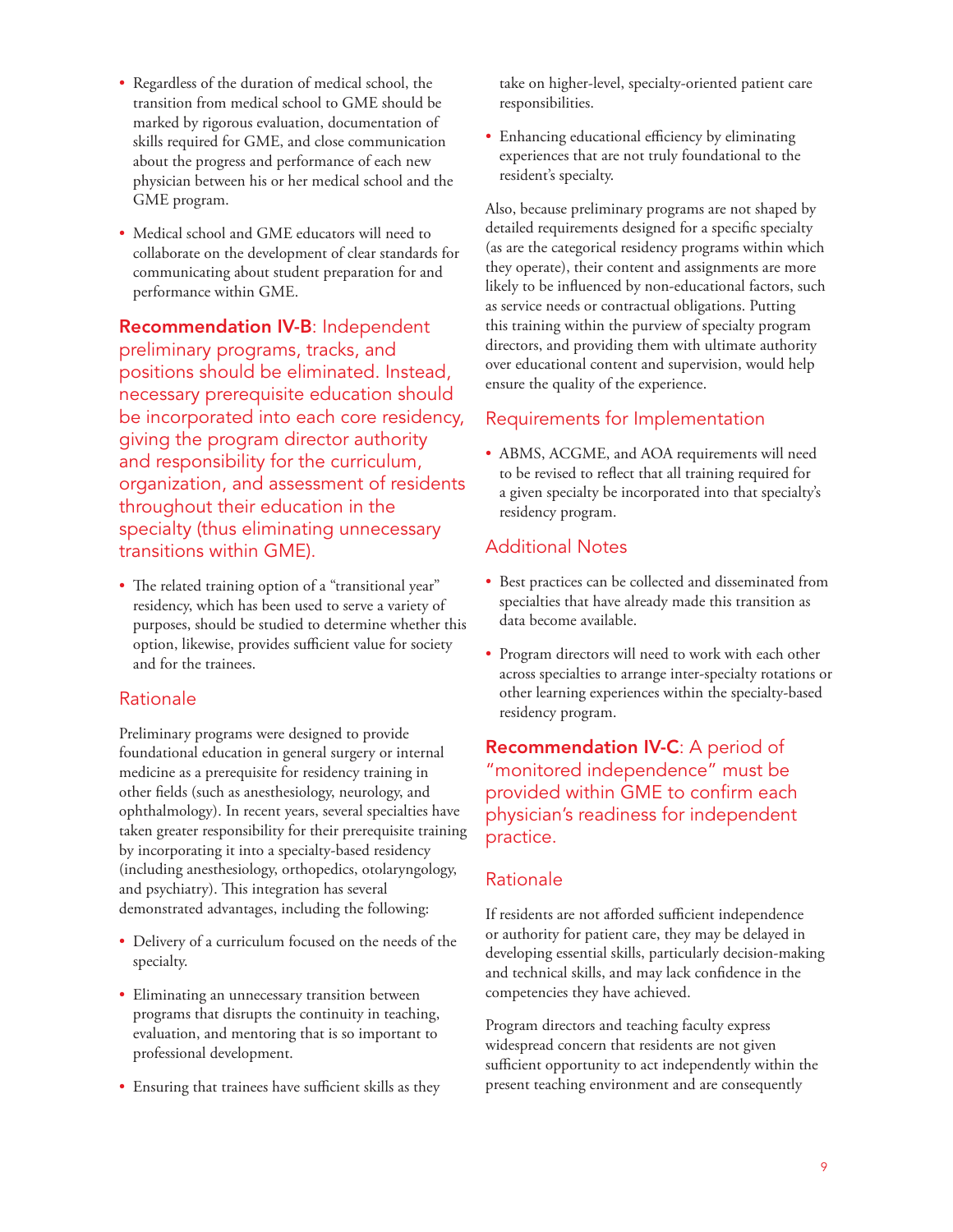- Regardless of the duration of medical school, the transition from medical school to GME should be marked by rigorous evaluation, documentation of skills required for GME, and close communication about the progress and performance of each new physician between his or her medical school and the GME program.
- Medical school and GME educators will need to collaborate on the development of clear standards for communicating about student preparation for and performance within GME.

Recommendation IV-B: Independent preliminary programs, tracks, and positions should be eliminated. Instead, necessary prerequisite education should be incorporated into each core residency, giving the program director authority and responsibility for the curriculum, organization, and assessment of residents throughout their education in the specialty (thus eliminating unnecessary transitions within GME).

• The related training option of a "transitional year" residency, which has been used to serve a variety of purposes, should be studied to determine whether this option, likewise, provides sufficient value for society and for the trainees.

# Rationale

Preliminary programs were designed to provide foundational education in general surgery or internal medicine as a prerequisite for residency training in other fields (such as anesthesiology, neurology, and ophthalmology). In recent years, several specialties have taken greater responsibility for their prerequisite training by incorporating it into a specialty-based residency (including anesthesiology, orthopedics, otolaryngology, and psychiatry). This integration has several demonstrated advantages, including the following:

- Delivery of a curriculum focused on the needs of the specialty.
- Eliminating an unnecessary transition between programs that disrupts the continuity in teaching, evaluation, and mentoring that is so important to professional development.
- Ensuring that trainees have sufficient skills as they

take on higher-level, specialty-oriented patient care responsibilities.

• Enhancing educational efficiency by eliminating experiences that are not truly foundational to the resident's specialty.

Also, because preliminary programs are not shaped by detailed requirements designed for a specific specialty (as are the categorical residency programs within which they operate), their content and assignments are more likely to be influenced by non-educational factors, such as service needs or contractual obligations. Putting this training within the purview of specialty program directors, and providing them with ultimate authority over educational content and supervision, would help ensure the quality of the experience.

# Requirements for Implementation

• ABMS, ACGME, and AOA requirements will need to be revised to reflect that all training required for a given specialty be incorporated into that specialty's residency program.

# Additional Notes

- Best practices can be collected and disseminated from specialties that have already made this transition as data become available.
- Program directors will need to work with each other across specialties to arrange inter-specialty rotations or other learning experiences within the specialty-based residency program.

**Recommendation IV-C:** A period of "monitored independence" must be provided within GME to confirm each physician's readiness for independent practice.

# Rationale

If residents are not afforded sufficient independence or authority for patient care, they may be delayed in developing essential skills, particularly decision-making and technical skills, and may lack confidence in the competencies they have achieved.

Program directors and teaching faculty express widespread concern that residents are not given sufficient opportunity to act independently within the present teaching environment and are consequently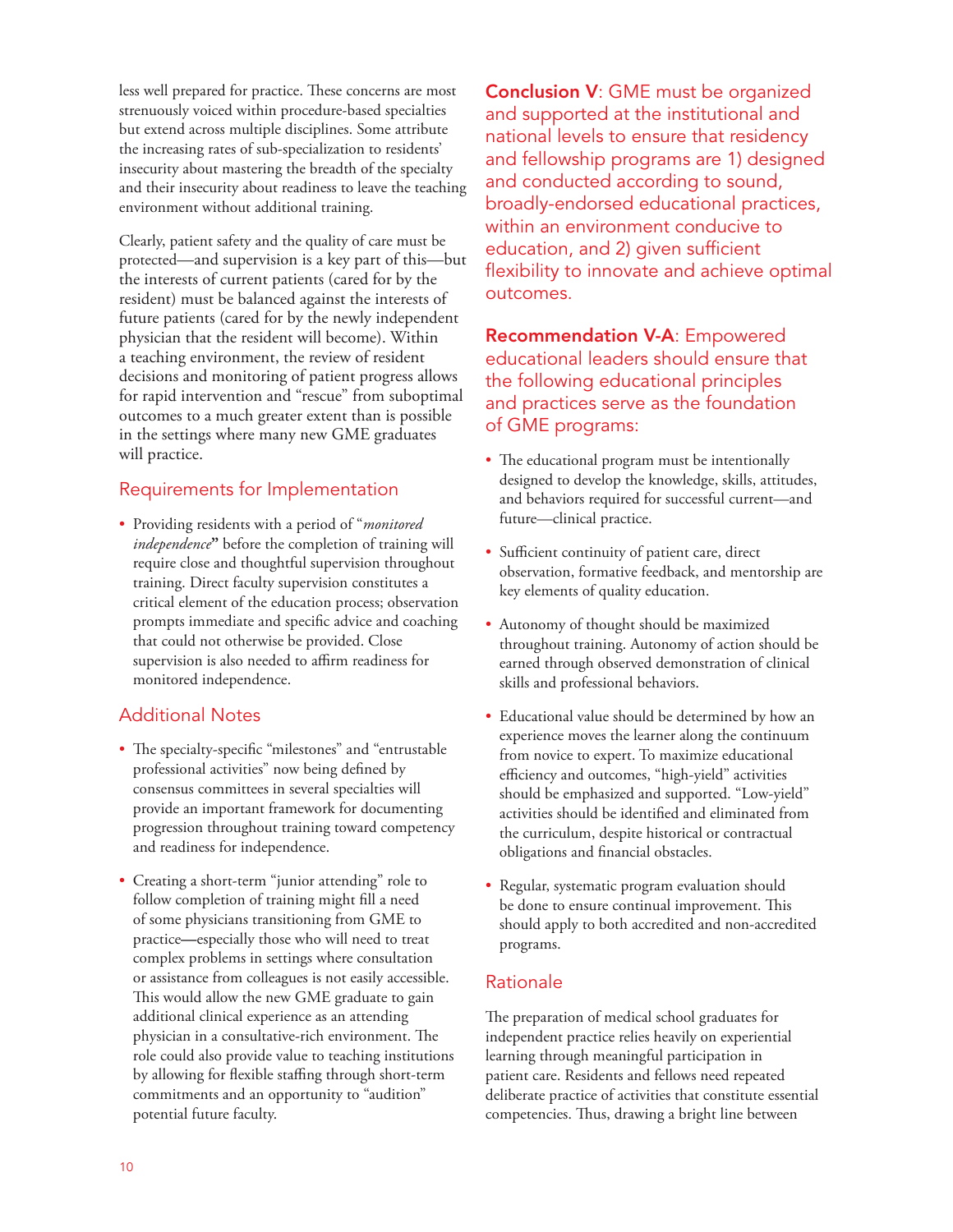less well prepared for practice. These concerns are most strenuously voiced within procedure-based specialties but extend across multiple disciplines. Some attribute the increasing rates of sub-specialization to residents' insecurity about mastering the breadth of the specialty and their insecurity about readiness to leave the teaching environment without additional training.

Clearly, patient safety and the quality of care must be protected—and supervision is a key part of this—but the interests of current patients (cared for by the resident) must be balanced against the interests of future patients (cared for by the newly independent physician that the resident will become). Within a teaching environment, the review of resident decisions and monitoring of patient progress allows for rapid intervention and "rescue" from suboptimal outcomes to a much greater extent than is possible in the settings where many new GME graduates will practice.

# Requirements for Implementation

• Providing residents with a period of "*monitored independence***"** before the completion of training will require close and thoughtful supervision throughout training. Direct faculty supervision constitutes a critical element of the education process; observation prompts immediate and specific advice and coaching that could not otherwise be provided. Close supervision is also needed to affirm readiness for monitored independence.

# Additional Notes

- The specialty-specific "milestones" and "entrustable professional activities" now being defined by consensus committees in several specialties will provide an important framework for documenting progression throughout training toward competency and readiness for independence.
- Creating a short-term "junior attending" role to follow completion of training might fill a need of some physicians transitioning from GME to practice**—**especially those who will need to treat complex problems in settings where consultation or assistance from colleagues is not easily accessible. This would allow the new GME graduate to gain additional clinical experience as an attending physician in a consultative-rich environment. The role could also provide value to teaching institutions by allowing for flexible staffing through short-term commitments and an opportunity to "audition" potential future faculty.

**Conclusion V: GME must be organized** and supported at the institutional and national levels to ensure that residency and fellowship programs are 1) designed and conducted according to sound, broadly-endorsed educational practices, within an environment conducive to education, and 2) given sufficient flexibility to innovate and achieve optimal outcomes.

Recommendation V-A: Empowered educational leaders should ensure that the following educational principles and practices serve as the foundation of GME programs:

- The educational program must be intentionally designed to develop the knowledge, skills, attitudes, and behaviors required for successful current—and future—clinical practice.
- Sufficient continuity of patient care, direct observation, formative feedback, and mentorship are key elements of quality education.
- Autonomy of thought should be maximized throughout training. Autonomy of action should be earned through observed demonstration of clinical skills and professional behaviors.
- Educational value should be determined by how an experience moves the learner along the continuum from novice to expert. To maximize educational efficiency and outcomes, "high-yield" activities should be emphasized and supported. "Low-yield" activities should be identified and eliminated from the curriculum, despite historical or contractual obligations and financial obstacles.
- Regular, systematic program evaluation should be done to ensure continual improvement. This should apply to both accredited and non-accredited programs.

# Rationale

The preparation of medical school graduates for independent practice relies heavily on experiential learning through meaningful participation in patient care. Residents and fellows need repeated deliberate practice of activities that constitute essential competencies. Thus, drawing a bright line between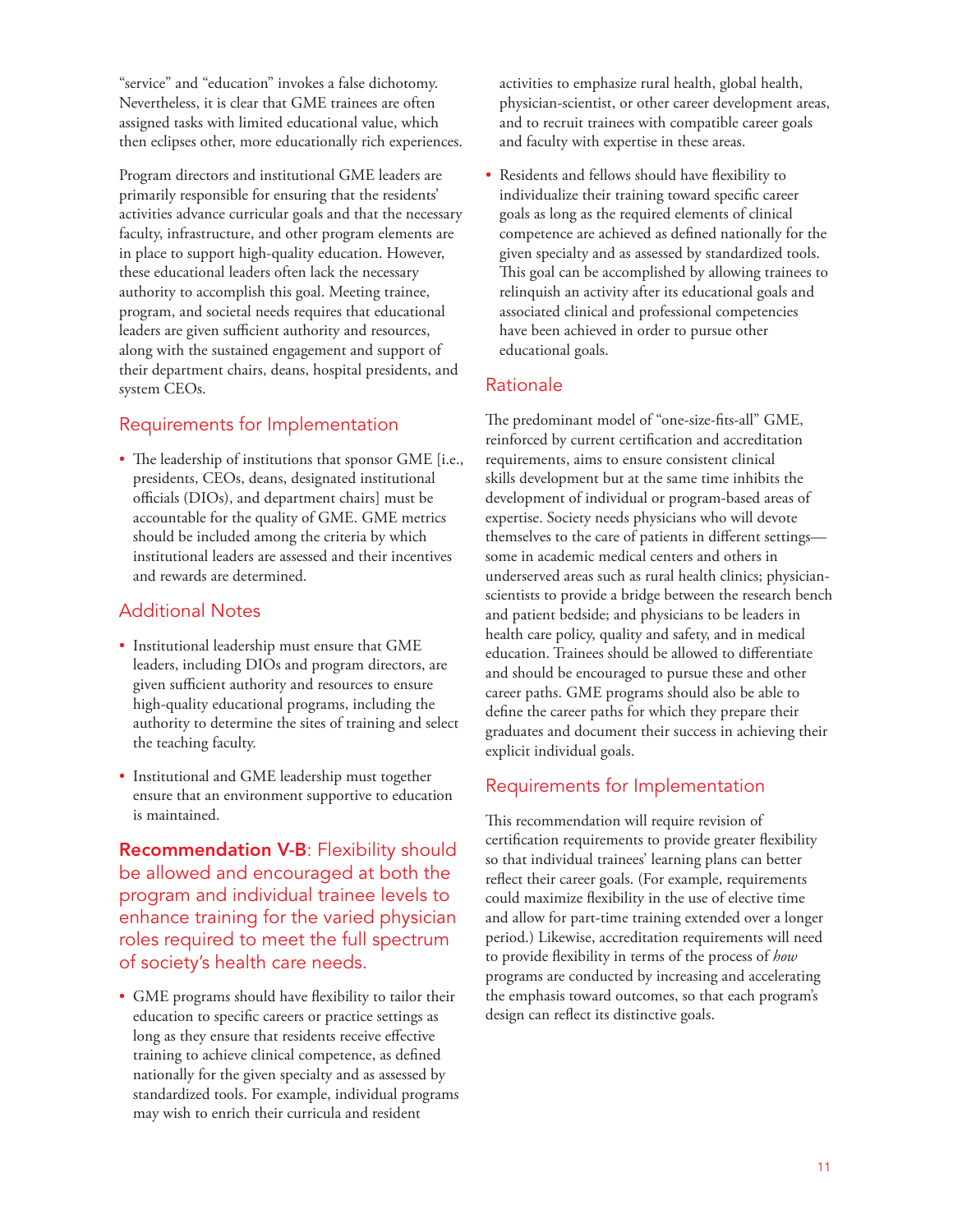"service" and "education" invokes a false dichotomy. Nevertheless, it is clear that GME trainees are often assigned tasks with limited educational value, which then eclipses other, more educationally rich experiences.

Program directors and institutional GME leaders are primarily responsible for ensuring that the residents' activities advance curricular goals and that the necessary faculty, infrastructure, and other program elements are in place to support high-quality education. However, these educational leaders often lack the necessary authority to accomplish this goal. Meeting trainee, program, and societal needs requires that educational leaders are given sufficient authority and resources, along with the sustained engagement and support of their department chairs, deans, hospital presidents, and system CEOs.

# Requirements for Implementation

• The leadership of institutions that sponsor GME [i.e., presidents, CEOs, deans, designated institutional officials (DIOs), and department chairs] must be accountable for the quality of GME. GME metrics should be included among the criteria by which institutional leaders are assessed and their incentives and rewards are determined.

# Additional Notes

- Institutional leadership must ensure that GME leaders, including DIOs and program directors, are given sufficient authority and resources to ensure high-quality educational programs, including the authority to determine the sites of training and select the teaching faculty.
- Institutional and GME leadership must together ensure that an environment supportive to education is maintained.

**Recommendation V-B: Flexibility should** be allowed and encouraged at both the program and individual trainee levels to enhance training for the varied physician roles required to meet the full spectrum of society's health care needs.

• GME programs should have flexibility to tailor their education to specific careers or practice settings as long as they ensure that residents receive effective training to achieve clinical competence, as defined nationally for the given specialty and as assessed by standardized tools. For example, individual programs may wish to enrich their curricula and resident

activities to emphasize rural health, global health, physician-scientist, or other career development areas, and to recruit trainees with compatible career goals and faculty with expertise in these areas.

• Residents and fellows should have flexibility to individualize their training toward specific career goals as long as the required elements of clinical competence are achieved as defined nationally for the given specialty and as assessed by standardized tools. This goal can be accomplished by allowing trainees to relinquish an activity after its educational goals and associated clinical and professional competencies have been achieved in order to pursue other educational goals.

# Rationale

The predominant model of "one-size-fits-all" GME, reinforced by current certification and accreditation requirements, aims to ensure consistent clinical skills development but at the same time inhibits the development of individual or program-based areas of expertise. Society needs physicians who will devote themselves to the care of patients in different settings some in academic medical centers and others in underserved areas such as rural health clinics; physicianscientists to provide a bridge between the research bench and patient bedside; and physicians to be leaders in health care policy, quality and safety, and in medical education. Trainees should be allowed to differentiate and should be encouraged to pursue these and other career paths. GME programs should also be able to define the career paths for which they prepare their graduates and document their success in achieving their explicit individual goals.

# Requirements for Implementation

This recommendation will require revision of certification requirements to provide greater flexibility so that individual trainees' learning plans can better reflect their career goals. (For example, requirements could maximize flexibility in the use of elective time and allow for part-time training extended over a longer period.) Likewise, accreditation requirements will need to provide flexibility in terms of the process of *how* programs are conducted by increasing and accelerating the emphasis toward outcomes, so that each program's design can reflect its distinctive goals.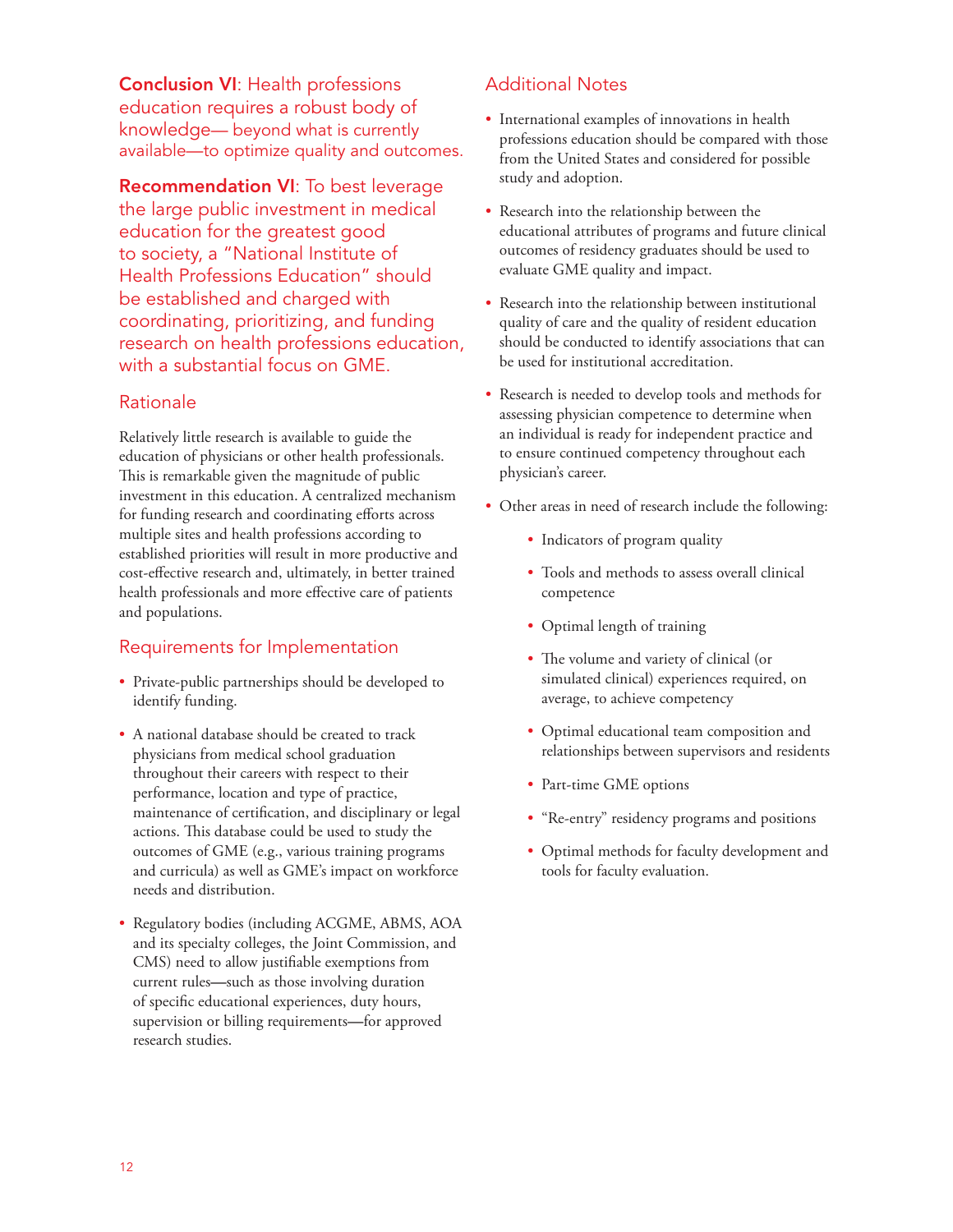Conclusion VI: Health professions education requires a robust body of knowledge— beyond what is currently available—to optimize quality and outcomes.

Recommendation VI: To best leverage the large public investment in medical education for the greatest good to society, a "National Institute of Health Professions Education" should be established and charged with coordinating, prioritizing, and funding research on health professions education, with a substantial focus on GME.

# Rationale

Relatively little research is available to guide the education of physicians or other health professionals. This is remarkable given the magnitude of public investment in this education. A centralized mechanism for funding research and coordinating efforts across multiple sites and health professions according to established priorities will result in more productive and cost-effective research and, ultimately, in better trained health professionals and more effective care of patients and populations.

# Requirements for Implementation

- Private-public partnerships should be developed to identify funding.
- A national database should be created to track physicians from medical school graduation throughout their careers with respect to their performance, location and type of practice, maintenance of certification, and disciplinary or legal actions. This database could be used to study the outcomes of GME (e.g., various training programs and curricula) as well as GME's impact on workforce needs and distribution.
- Regulatory bodies (including ACGME, ABMS, AOA and its specialty colleges, the Joint Commission, and CMS) need to allow justifiable exemptions from current rules**—**such as those involving duration of specific educational experiences, duty hours, supervision or billing requirements**—**for approved research studies.

# Additional Notes

- International examples of innovations in health professions education should be compared with those from the United States and considered for possible study and adoption.
- Research into the relationship between the educational attributes of programs and future clinical outcomes of residency graduates should be used to evaluate GME quality and impact.
- Research into the relationship between institutional quality of care and the quality of resident education should be conducted to identify associations that can be used for institutional accreditation.
- Research is needed to develop tools and methods for assessing physician competence to determine when an individual is ready for independent practice and to ensure continued competency throughout each physician's career.
- Other areas in need of research include the following:
	- Indicators of program quality
	- Tools and methods to assess overall clinical competence
	- Optimal length of training
	- The volume and variety of clinical (or simulated clinical) experiences required, on average, to achieve competency
	- Optimal educational team composition and relationships between supervisors and residents
	- Part-time GME options
	- "Re-entry" residency programs and positions
	- Optimal methods for faculty development and tools for faculty evaluation.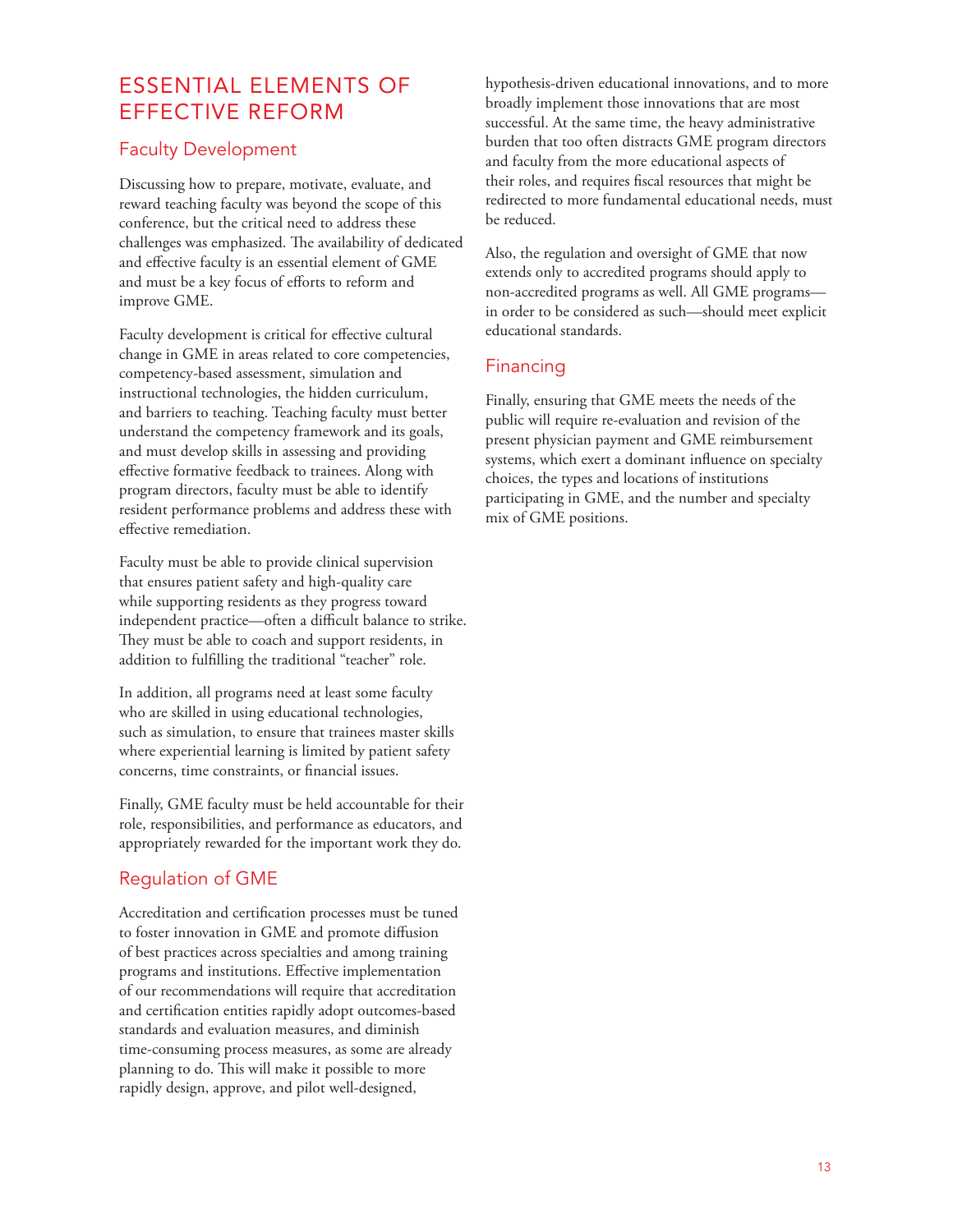# ESSENTIAL ELEMENTS OF EFFECTIVE REFORM

# Faculty Development

Discussing how to prepare, motivate, evaluate, and reward teaching faculty was beyond the scope of this conference, but the critical need to address these challenges was emphasized. The availability of dedicated and effective faculty is an essential element of GME and must be a key focus of efforts to reform and improve GME.

Faculty development is critical for effective cultural change in GME in areas related to core competencies, competency-based assessment, simulation and instructional technologies, the hidden curriculum, and barriers to teaching. Teaching faculty must better understand the competency framework and its goals, and must develop skills in assessing and providing effective formative feedback to trainees. Along with program directors, faculty must be able to identify resident performance problems and address these with effective remediation.

Faculty must be able to provide clinical supervision that ensures patient safety and high-quality care while supporting residents as they progress toward independent practice—often a difficult balance to strike. They must be able to coach and support residents, in addition to fulfilling the traditional "teacher" role.

In addition, all programs need at least some faculty who are skilled in using educational technologies, such as simulation, to ensure that trainees master skills where experiential learning is limited by patient safety concerns, time constraints, or financial issues.

Finally, GME faculty must be held accountable for their role, responsibilities, and performance as educators, and appropriately rewarded for the important work they do.

# Regulation of GME

Accreditation and certification processes must be tuned to foster innovation in GME and promote diffusion of best practices across specialties and among training programs and institutions. Effective implementation of our recommendations will require that accreditation and certification entities rapidly adopt outcomes-based standards and evaluation measures, and diminish time-consuming process measures, as some are already planning to do. This will make it possible to more rapidly design, approve, and pilot well-designed,

hypothesis-driven educational innovations, and to more broadly implement those innovations that are most successful. At the same time, the heavy administrative burden that too often distracts GME program directors and faculty from the more educational aspects of their roles, and requires fiscal resources that might be redirected to more fundamental educational needs, must be reduced.

Also, the regulation and oversight of GME that now extends only to accredited programs should apply to non-accredited programs as well. All GME programs in order to be considered as such—should meet explicit educational standards.

# Financing

Finally, ensuring that GME meets the needs of the public will require re-evaluation and revision of the present physician payment and GME reimbursement systems, which exert a dominant influence on specialty choices, the types and locations of institutions participating in GME, and the number and specialty mix of GME positions.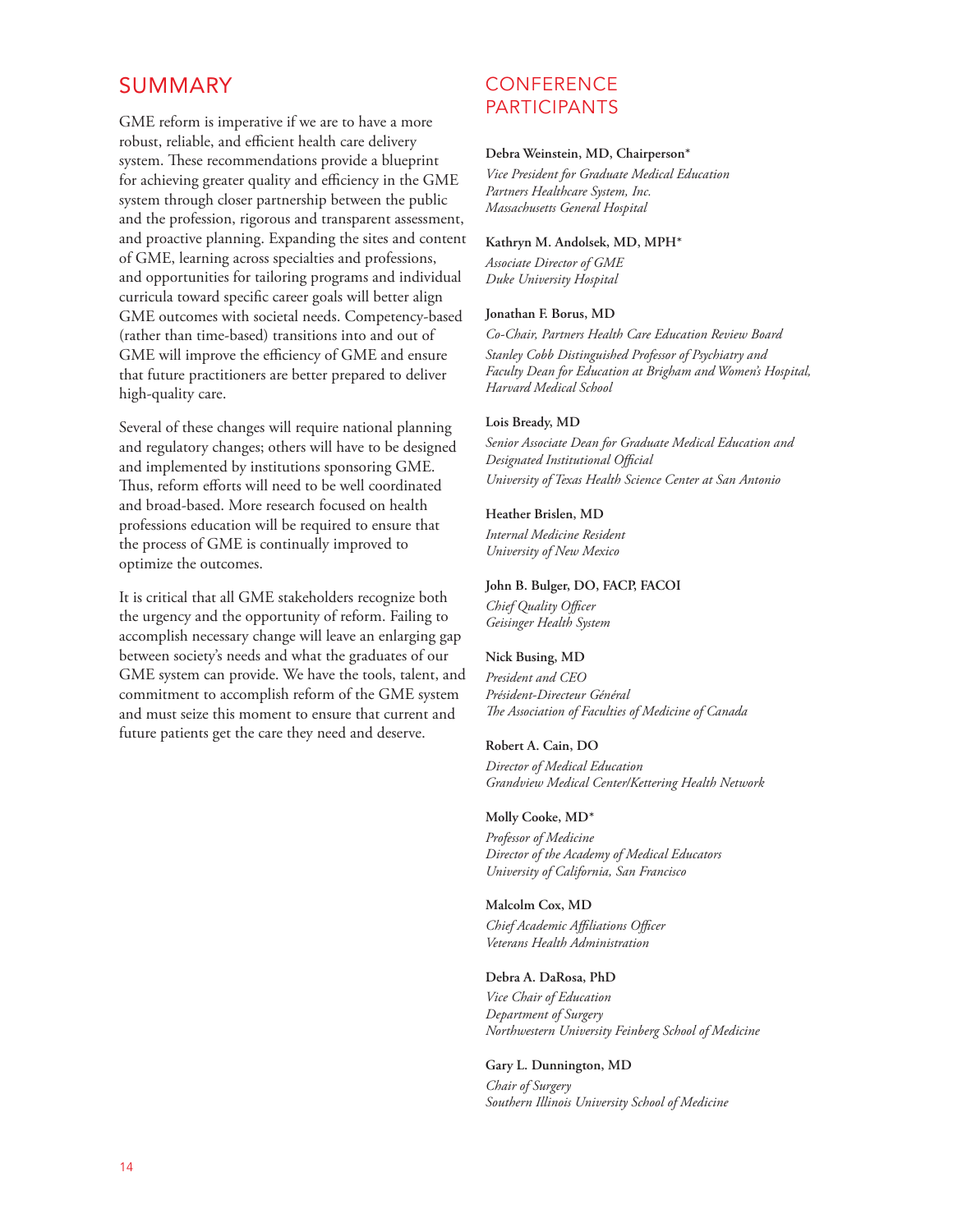# SUMMARY

GME reform is imperative if we are to have a more robust, reliable, and efficient health care delivery system. These recommendations provide a blueprint for achieving greater quality and efficiency in the GME system through closer partnership between the public and the profession, rigorous and transparent assessment, and proactive planning. Expanding the sites and content of GME, learning across specialties and professions, and opportunities for tailoring programs and individual curricula toward specific career goals will better align GME outcomes with societal needs. Competency-based (rather than time-based) transitions into and out of GME will improve the efficiency of GME and ensure that future practitioners are better prepared to deliver high-quality care.

Several of these changes will require national planning and regulatory changes; others will have to be designed and implemented by institutions sponsoring GME. Thus, reform efforts will need to be well coordinated and broad-based. More research focused on health professions education will be required to ensure that the process of GME is continually improved to optimize the outcomes.

It is critical that all GME stakeholders recognize both the urgency and the opportunity of reform. Failing to accomplish necessary change will leave an enlarging gap between society's needs and what the graduates of our GME system can provide. We have the tools, talent, and commitment to accomplish reform of the GME system and must seize this moment to ensure that current and future patients get the care they need and deserve.

# **CONFERENCE** PARTICIPANTS

### **Debra Weinstein, MD, Chairperson\***

*Vice President for Graduate Medical Education Partners Healthcare System, Inc. Massachusetts General Hospital*

### **Kathryn M. Andolsek, MD, MPH\***

*Associate Director of GME Duke University Hospital* 

### **Jonathan F. Borus, MD**

*Co-Chair, Partners Health Care Education Review Board*

*Stanley Cobb Distinguished Professor of Psychiatry and Faculty Dean for Education at Brigham and Women's Hospital, Harvard Medical School*

### **Lois Bready, MD**

*Senior Associate Dean for Graduate Medical Education and Designated Institutional Official University of Texas Health Science Center at San Antonio*

### **Heather Brislen, MD**

*Internal Medicine Resident University of New Mexico*

### **John B. Bulger, DO, FACP, FACOI**

*Chief Quality Officer Geisinger Health System*

### **Nick Busing, MD**

*President and CEO Président-Directeur Général The Association of Faculties of Medicine of Canada*

### **Robert A. Cain, DO**

*Director of Medical Education Grandview Medical Center/Kettering Health Network* 

### **Molly Cooke, MD\***

*Professor of Medicine Director of the Academy of Medical Educators University of California, San Francisco*

### **Malcolm Cox, MD**

*Chief Academic Affiliations Officer Veterans Health Administration*

### **Debra A. DaRosa, PhD**

*Vice Chair of Education Department of Surgery Northwestern University Feinberg School of Medicine*

### **Gary L. Dunnington, MD**

*Chair of Surgery Southern Illinois University School of Medicine*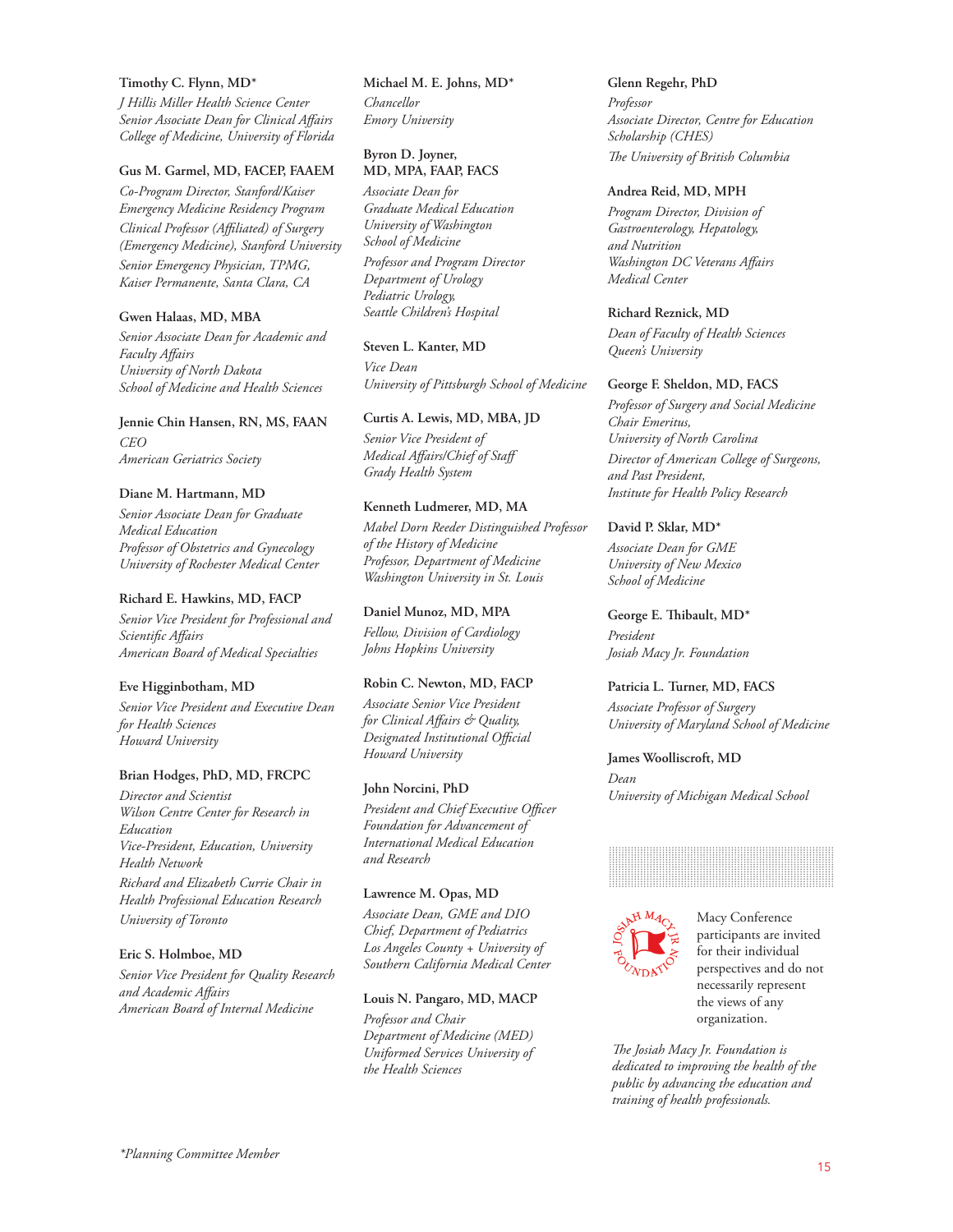#### **Timothy C. Flynn, MD\***

*J Hillis Miller Health Science Center Senior Associate Dean for Clinical Affairs College of Medicine, University of Florida*

### **Gus M. Garmel, MD, FACEP, FAAEM**

*Co-Program Director, Stanford/Kaiser Emergency Medicine Residency Program Clinical Professor (Affiliated) of Surgery (Emergency Medicine), Stanford University*

*Senior Emergency Physician, TPMG, Kaiser Permanente, Santa Clara, CA*

### **Gwen Halaas, MD, MBA**

*Senior Associate Dean for Academic and Faculty Affairs University of North Dakota School of Medicine and Health Sciences*

**Jennie Chin Hansen, RN, MS, FAAN** *CEO American Geriatrics Society*

### **Diane M. Hartmann, MD**

*Senior Associate Dean for Graduate Medical Education Professor of Obstetrics and Gynecology University of Rochester Medical Center*

### **Richard E. Hawkins, MD, FACP**

*Senior Vice President for Professional and Scientific Affairs American Board of Medical Specialties*

### **Eve Higginbotham, MD**

*Senior Vice President and Executive Dean for Health Sciences Howard University*

### **Brian Hodges, PhD, MD, FRCPC**

*Director and Scientist Wilson Centre Center for Research in Education Vice-President, Education, University Health Network*

*Richard and Elizabeth Currie Chair in Health Professional Education Research*

*University of Toronto*

### **Eric S. Holmboe, MD**

*Senior Vice President for Quality Research and Academic Affairs American Board of Internal Medicine*

**Michael M. E. Johns, MD\*** *Chancellor Emory University*

### **Byron D. Joyner, MD, MPA, FAAP, FACS**

*Associate Dean for Graduate Medical Education University of Washington School of Medicine*

*Professor and Program Director Department of Urology Pediatric Urology, Seattle Children's Hospital*

### **Steven L. Kanter, MD**

*Vice Dean University of Pittsburgh School of Medicine* 

**Curtis A. Lewis, MD, MBA, JD**  *Senior Vice President of* 

*Medical Affairs/Chief of Staff Grady Health System*

### **Kenneth Ludmerer, MD, MA**

*Mabel Dorn Reeder Distinguished Professor of the History of Medicine Professor, Department of Medicine Washington University in St. Louis*

### **Daniel Munoz, MD, MPA**

*Fellow, Division of Cardiology Johns Hopkins University*

### **Robin C. Newton, MD, FACP**

*Associate Senior Vice President for Clinical Affairs & Quality, Designated Institutional Official Howard University*

#### **John Norcini, PhD**

*President and Chief Executive Officer Foundation for Advancement of International Medical Education and Research*

### **Lawrence M. Opas, MD**

*Associate Dean, GME and DIO Chief, Department of Pediatrics Los Angeles County + University of Southern California Medical Center*

### **Louis N. Pangaro, MD, MACP**

*Professor and Chair Department of Medicine (MED) Uniformed Services University of the Health Sciences*

**Glenn Regehr, PhD** *Professor Associate Director, Centre for Education Scholarship (CHES) The University of British Columbia*

#### **Andrea Reid, MD, MPH**

*Program Director, Division of Gastroenterology, Hepatology, and Nutrition Washington DC Veterans Affairs Medical Center*

### **Richard Reznick, MD**

*Dean of Faculty of Health Sciences Queen's University*

### **George F. Sheldon, MD, FACS**

*Professor of Surgery and Social Medicine Chair Emeritus, University of North Carolina Director of American College of Surgeons, and Past President, Institute for Health Policy Research*

### **David P. Sklar, MD\***

*Associate Dean for GME University of New Mexico School of Medicine*

**George E. Thibault, MD\*** *President Josiah Macy Jr. Foundation*

### **Patricia L. Turner, MD, FACS**

*Associate Professor of Surgery University of Maryland School of Medicine*

**James Woolliscroft, MD** *Dean University of Michigan Medical School* 





Macy Conference participants are invited for their individual perspectives and do not necessarily represent the views of any organization.

*The Josiah Macy Jr. Foundation is dedicated to improving the health of the public by advancing the education and training of health professionals.*